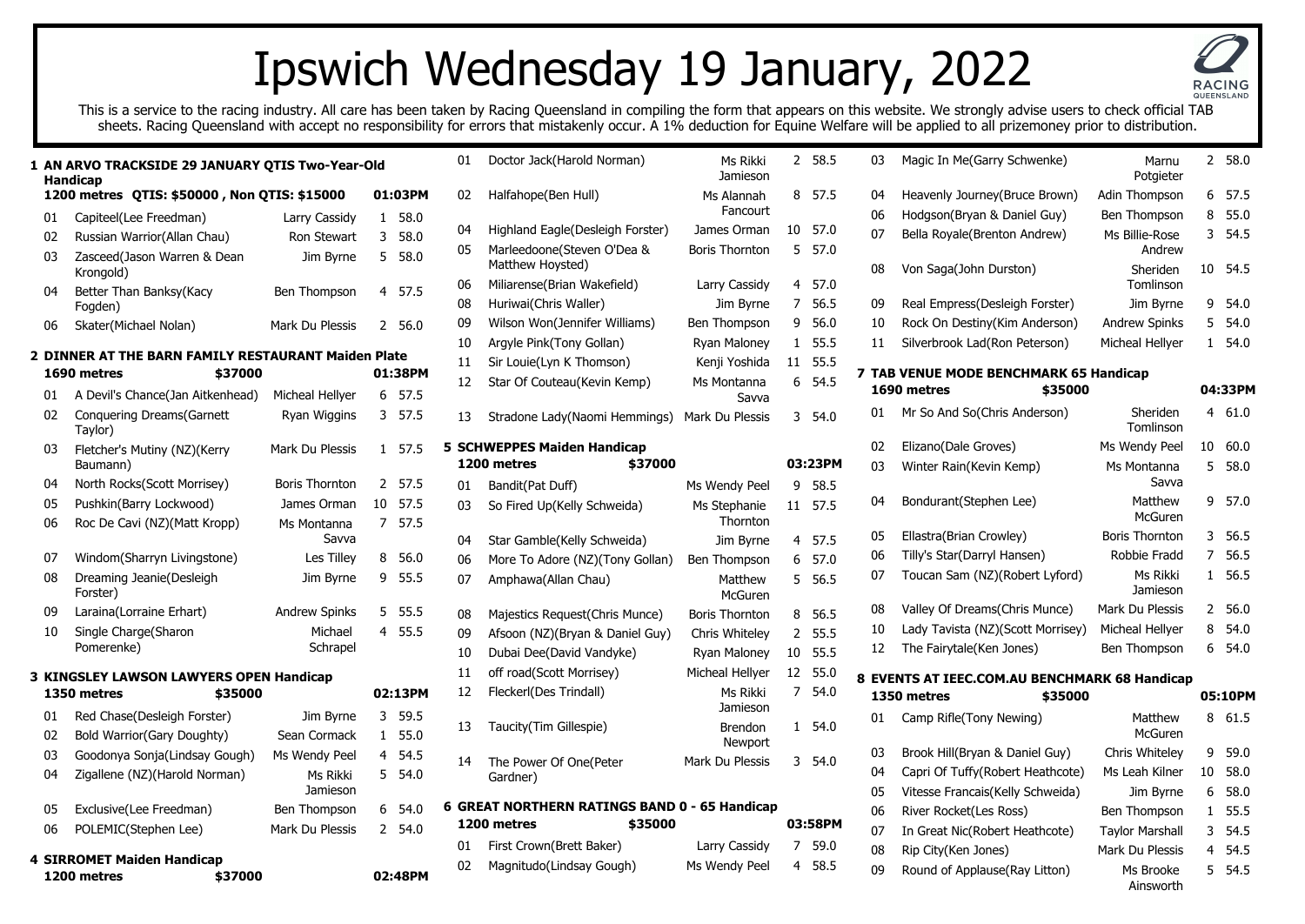## Ipswich Wednesday 19 January, 2022

This is a service to the racing industry. All care has been taken by Racing Queensland in compiling the form that appears on this website. We strongly advise users to check official TAB sheets. Racing Queensland with accept no responsibility for errors that mistakenly occur. A 1% deduction for Equine Welfare will be applied to all prizemoney prior to distribution.

|    | 1 AN ARVO TRACKSIDE 29 JANUARY QTIS Two-Year-Old<br><b>Handicap</b> |                       |              |         | 01 | Doctor Jack(Harold Norman                               |
|----|---------------------------------------------------------------------|-----------------------|--------------|---------|----|---------------------------------------------------------|
|    | 1200 metres QTIS: \$50000, Non QTIS: \$15000                        |                       |              | 01:03PM | 02 | Halfahope(Ben Hull)                                     |
| 01 | Capiteel(Lee Freedman)                                              | Larry Cassidy         | 1            | 58.0    |    |                                                         |
| 02 | Russian Warrior(Allan Chau)                                         | Ron Stewart           | 3            | 58.0    | 04 | Highland Eagle(Desleigh Fo                              |
| 03 | Zasceed(Jason Warren & Dean<br>Krongold)                            | Jim Byrne             | 5            | 58.0    | 05 | Marleedoone(Steven O'Dea<br>Matthew Hoysted)            |
| 04 | Better Than Banksy(Kacy                                             | Ben Thompson          | 4            | 57.5    | 06 | Miliarense(Brian Wakefield)                             |
|    | Fogden)                                                             |                       |              |         | 08 | Huriwai(Chris Waller)                                   |
| 06 | Skater(Michael Nolan)                                               | Mark Du Plessis       |              | 2 56.0  | 09 | Wilson Won(Jennifer Willian                             |
|    |                                                                     |                       |              |         | 10 | Argyle Pink(Tony Gollan)                                |
|    | 2 DINNER AT THE BARN FAMILY RESTAURANT Maiden Plate                 |                       |              |         | 11 | Sir Louie(Lyn K Thomson)                                |
|    | \$37000<br>1690 metres                                              |                       |              | 01:38PM | 12 | Star Of Couteau(Kevin Kem                               |
| 01 | A Devil's Chance(Jan Aitkenhead)                                    | Micheal Hellyer       | 6            | 57.5    |    |                                                         |
| 02 | <b>Conquering Dreams (Garnett</b><br>Taylor)                        | Ryan Wiggins          | 3            | 57.5    | 13 | Stradone Lady (Naomi Hemr                               |
| 03 | Fletcher's Mutiny (NZ)(Kerry<br>Baumann)                            | Mark Du Plessis       | $\mathbf{1}$ | 57.5    |    | <b>5 SCHWEPPES Maiden Handica</b><br>1200 metres<br>\$. |
| 04 | North Rocks(Scott Morrisey)                                         | <b>Boris Thornton</b> | 2            | 57.5    | 01 | Bandit(Pat Duff)                                        |
| 05 | Pushkin(Barry Lockwood)                                             | James Orman           | 10           | 57.5    | 03 | So Fired Up(Kelly Schweida                              |
| 06 | Roc De Cavi (NZ)(Matt Kropp)                                        | Ms Montanna<br>Savva  | 7            | 57.5    | 04 | Star Gamble(Kelly Schweida                              |
| 07 | Windom(Sharryn Livingstone)                                         | Les Tilley            | 8            | 56.0    | 06 | More To Adore (NZ)(Tony G                               |
| 08 | Dreaming Jeanie(Desleigh                                            | Jim Byrne             | 9            | 55.5    | 07 | Amphawa(Allan Chau)                                     |
|    | Forster)                                                            |                       |              |         |    |                                                         |
| 09 | Laraina(Lorraine Erhart)                                            | Andrew Spinks         | 5            | 55.5    | 08 | Majestics Request(Chris Mu                              |
| 10 | Single Charge(Sharon                                                | Michael               | 4            | 55.5    | 09 | Afsoon (NZ)(Bryan & Danie                               |
|    | Pomerenke)                                                          | Schrapel              |              |         | 10 | Dubai Dee(David Vandyke)                                |
|    | <b>3 KINGSLEY LAWSON LAWYERS OPEN Handicap</b>                      |                       |              |         | 11 | off road(Scott Morrisey)                                |
|    | 1350 metres<br>\$35000                                              |                       |              | 02:13PM | 12 | Fleckerl(Des Trindall)                                  |
|    |                                                                     |                       |              |         |    |                                                         |
| 01 | Red Chase(Desleigh Forster)                                         | Jim Byrne             | 3            | 59.5    | 13 | Taucity(Tim Gillespie)                                  |
| 02 | Bold Warrior(Gary Doughty)                                          | Sean Cormack          | $\mathbf{1}$ | 55.0    |    |                                                         |
| 03 | Goodonya Sonja(Lindsay Gough)                                       | Ms Wendy Peel         | 4            | 54.5    | 14 | The Power Of One(Peter                                  |
| 04 | Zigallene (NZ)(Harold Norman)                                       | Ms Rikki<br>Jamieson  | 5            | 54.0    |    | Gardner)                                                |
| 05 | Exclusive(Lee Freedman)                                             | Ben Thompson          | 6            | 54.0    |    | <b>6 GREAT NORTHERN RATINGS</b>                         |
| 06 | POLEMIC(Stephen Lee)                                                | Mark Du Plessis       | $\mathbf{2}$ | 54.0    |    | 1200 metres<br>\$.                                      |
|    |                                                                     |                       |              |         | 01 | First Crown(Brett Baker)                                |
|    | <b>4 SIRROMET Maiden Handicap</b><br>1200 metres<br>\$37000         |                       |              | 02:48PM | 02 | Magnitudo(Lindsay Gough)                                |

| 01 | Doctor Jack(Harold Norman)                                              | Ms Rikki<br>Jamieson      | 2              | 58.5    | 03       | Magic In Me(Garry Schwenl                                |
|----|-------------------------------------------------------------------------|---------------------------|----------------|---------|----------|----------------------------------------------------------|
| 02 | Halfahope(Ben Hull)                                                     | Ms Alannah<br>Fancourt    | 8              | 57.5    | 04<br>06 | Heavenly Journey (Bruce Bro<br>Hodgson(Bryan & Daniel Gu |
| 04 | Highland Eagle(Desleigh Forster)                                        | James Orman               | 10             | 57.0    | 07       | Bella Royale(Brenton Andre                               |
| 05 | Marleedoone(Steven O'Dea &<br>Matthew Hoysted)                          | <b>Boris Thornton</b>     | 5              | 57.0    | 08       | Von Saga(John Durston)                                   |
| 06 | Miliarense(Brian Wakefield)                                             | Larry Cassidy             | 4              | 57.0    |          |                                                          |
| 08 | Huriwai(Chris Waller)                                                   | Jim Byrne                 | 7              | 56.5    | 09       | Real Empress (Desleigh Fors                              |
| 09 | Wilson Won(Jennifer Williams)                                           | Ben Thompson              | 9              | 56.0    | 10       | Rock On Destiny(Kim Ander                                |
| 10 | Argyle Pink(Tony Gollan)                                                | Ryan Maloney              | 1              | 55.5    | 11       | Silverbrook Lad(Ron Peters                               |
| 11 | Sir Louie(Lyn K Thomson)                                                | Kenji Yoshida             | 11             | 55.5    |          |                                                          |
| 12 | Star Of Couteau(Kevin Kemp)                                             | Ms Montanna<br>Savva      | 6              | 54.5    |          | <b>7 TAB VENUE MODE BENCHMAI</b><br>1690 metres          |
| 13 | Stradone Lady(Naomi Hemmings)                                           | Mark Du Plessis           | 3              | 54.0    | 01       | Mr So And So(Chris Anderso                               |
|    | <b>5 SCHWEPPES Maiden Handicap</b>                                      |                           |                |         | 02       | Elizano(Dale Groves)                                     |
|    | 1200 metres<br>\$37000                                                  |                           |                | 03:23PM | 03       | Winter Rain(Kevin Kemp)                                  |
| 01 | Bandit(Pat Duff)                                                        | Ms Wendy Peel             | 9              | 58.5    |          |                                                          |
| 03 | So Fired Up(Kelly Schweida)                                             | Ms Stephanie<br>Thornton  | 11             | 57.5    | 04       | Bondurant(Stephen Lee)                                   |
| 04 | Star Gamble(Kelly Schweida)                                             | Jim Byrne                 | 4              | 57.5    | 05       | Ellastra(Brian Crowley)                                  |
| 06 | More To Adore (NZ)(Tony Gollan)                                         | Ben Thompson              | 6              | 57.0    | 06       | Tilly's Star(Darryl Hansen)                              |
| 07 | Amphawa(Allan Chau)                                                     | Matthew<br><b>McGuren</b> | 5              | 56.5    | 07       | Toucan Sam (NZ)(Robert Ly                                |
| 08 | Majestics Request (Chris Munce)                                         | <b>Boris Thornton</b>     | 8              | 56.5    | 08       | Valley Of Dreams (Chris Mur                              |
| 09 | Afsoon (NZ)(Bryan & Daniel Guy)                                         | Chris Whiteley            | 2              | 55.5    | 10       | Lady Tavista (NZ)(Scott Mo                               |
| 10 | Dubai Dee(David Vandyke)                                                | Ryan Maloney              | 10             | 55.5    | 12       | The Fairytale(Ken Jones)                                 |
| 11 | off road(Scott Morrisey)                                                | Micheal Hellyer           | 12             | 55.0    |          | 8 EVENTS AT IEEC.COM.AU BEN                              |
| 12 | Fleckerl(Des Trindall)                                                  | Ms Rikki<br>Jamieson      | $\overline{7}$ | 54.0    |          | 1350 metres<br>\$.                                       |
| 13 | Taucity(Tim Gillespie)                                                  | <b>Brendon</b><br>Newport | 1              | 54.0    | 01       | Camp Rifle(Tony Newing)                                  |
| 14 | The Power Of One(Peter                                                  | Mark Du Plessis           | 3              | 54.0    | 03       | Brook Hill(Bryan & Daniel G                              |
|    | Gardner)                                                                |                           |                |         | 04       | Capri Of Tuffy(Robert Heath                              |
|    |                                                                         |                           |                |         | 05       | Vitesse Francais(Kelly Schw                              |
|    | 6 GREAT NORTHERN RATINGS BAND 0 - 65 Handicap<br>1200 metres<br>\$35000 |                           |                | 03:58PM | 06       | River Rocket(Les Ross)                                   |
|    |                                                                         |                           |                |         | 07       | In Great Nic(Robert Heathc                               |
| 01 | First Crown(Brett Baker)                                                | Larry Cassidy             | 7              | 59.0    | 08       | Rip City(Ken Jones)                                      |
| 02 | Magnitudo(Lindsay Gough)                                                | Ms Wendy Peel             | 4              | 58.5    | 09       | Round of Applause(Ray Litt                               |
|    |                                                                         |                           |                |         |          |                                                          |

| 03         | Magic In Me(Garry Schwenke)                   | Marnu<br>Potgieter       | 2  | 58.0    |
|------------|-----------------------------------------------|--------------------------|----|---------|
| 04         | Heavenly Journey(Bruce Brown)                 | Adin Thompson            | 6  | 57.5    |
| 06         | Hodgson(Bryan & Daniel Guy)                   | Ben Thompson             | 8  | 55.0    |
| 07         | Bella Royale(Brenton Andrew)                  | Ms Billie-Rose<br>Andrew | 3  | 54.5    |
| 08         | Von Saga(John Durston)                        | Sheriden<br>Tomlinson    | 10 | 54.5    |
| 09         | Real Empress(Desleigh Forster)                | Jim Byrne                | 9  | 54.0    |
| 10         | Rock On Destiny(Kim Anderson)                 | Andrew Spinks            | 5  | 54.0    |
| 11         | Silverbrook Lad(Ron Peterson)                 | Micheal Hellyer          | 1  | 54.0    |
|            | 7 TAB VENUE MODE BENCHMARK 65 Handicap        |                          |    |         |
|            | 1690 metres<br>\$35000                        |                          |    | 04:33PM |
| 01         | Mr So And So(Chris Anderson)                  | Sheriden<br>Tomlinson    |    | 4 61.0  |
| 02         | Elizano(Dale Groves)                          | Ms Wendy Peel            | 10 | 60.0    |
| 03         | Winter Rain(Kevin Kemp)                       | Ms Montanna<br>Savva     | 5  | 58.0    |
| 04         | Bondurant(Stephen Lee)                        | Matthew<br>McGuren       | 9  | 57.0    |
| 05         | Ellastra(Brian Crowley)                       | <b>Boris Thornton</b>    | 3  | 56.5    |
| 06         | Tilly's Star(Darryl Hansen)                   | Robbie Fradd             | 7  | 56.5    |
| 07         | Toucan Sam (NZ)(Robert Lyford)                | Ms Rikki<br>Jamieson     | 1  | 56.5    |
| 08         | Valley Of Dreams(Chris Munce)                 | Mark Du Plessis          | 2  | 56.0    |
| 10         | Lady Tavista (NZ)(Scott Morrisey)             | Micheal Hellyer          | 8  | 54.0    |
| 12         | The Fairytale(Ken Jones)                      | Ben Thompson             | 6  | 54.0    |
|            | 8 EVENTS AT IEEC.COM.AU BENCHMARK 68 Handicap |                          |    |         |
|            | 1350 metres<br>\$35000                        |                          |    | 05:10PM |
| 01         | Camp Rifle(Tony Newing)                       | Matthew<br>McGuren       | 8  | 61.5    |
| 03         | Brook Hill(Bryan & Daniel Guy)                | Chris Whiteley           | 9  | 59.0    |
| 04         | Capri Of Tuffy(Robert Heathcote)              | Ms Leah Kilner           | 10 | 58.0    |
| 05         | Vitesse Francais(Kelly Schweida)              | Jim Byrne                | 6  | 58.0    |
| 06         | River Rocket(Les Ross)                        | Ben Thompson             | 1  | 55.5    |
| 07         | In Great Nic(Robert Heathcote)                | <b>Taylor Marshall</b>   | 3  | 54.5    |
| ${\bf 08}$ | Rip City(Ken Jones)                           | Mark Du Plessis          | 4  | 54.5    |
| 09         | Round of Applause(Ray Litton)                 | Ms Brooke                | 5  | 54.5    |

Ainsworth